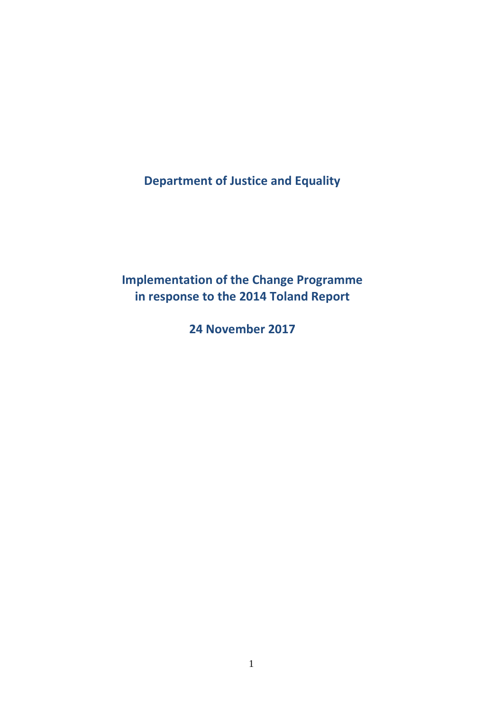**Department of Justice and Equality**

**Implementation of the Change Programme in response to the 2014 Toland Report**

**24 November 2017**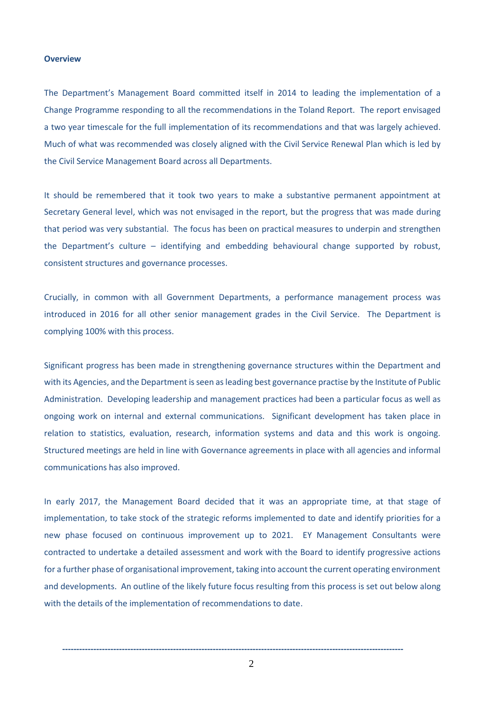# **Overview**

The Department's Management Board committed itself in 2014 to leading the implementation of a Change Programme responding to all the recommendations in the Toland Report. The report envisaged a two year timescale for the full implementation of its recommendations and that was largely achieved. Much of what was recommended was closely aligned with the Civil Service Renewal Plan which is led by the Civil Service Management Board across all Departments.

It should be remembered that it took two years to make a substantive permanent appointment at Secretary General level, which was not envisaged in the report, but the progress that was made during that period was very substantial. The focus has been on practical measures to underpin and strengthen the Department's culture – identifying and embedding behavioural change supported by robust, consistent structures and governance processes.

Crucially, in common with all Government Departments, a performance management process was introduced in 2016 for all other senior management grades in the Civil Service. The Department is complying 100% with this process.

Significant progress has been made in strengthening governance structures within the Department and with its Agencies, and the Department is seen as leading best governance practise by the Institute of Public Administration. Developing leadership and management practices had been a particular focus as well as ongoing work on internal and external communications. Significant development has taken place in relation to statistics, evaluation, research, information systems and data and this work is ongoing. Structured meetings are held in line with Governance agreements in place with all agencies and informal communications has also improved.

In early 2017, the Management Board decided that it was an appropriate time, at that stage of implementation, to take stock of the strategic reforms implemented to date and identify priorities for a new phase focused on continuous improvement up to 2021. EY Management Consultants were contracted to undertake a detailed assessment and work with the Board to identify progressive actions for a further phase of organisational improvement, taking into account the current operating environment and developments. An outline of the likely future focus resulting from this process is set out below along with the details of the implementation of recommendations to date.

**------------------------------------------------------------------------------------------------------------------------**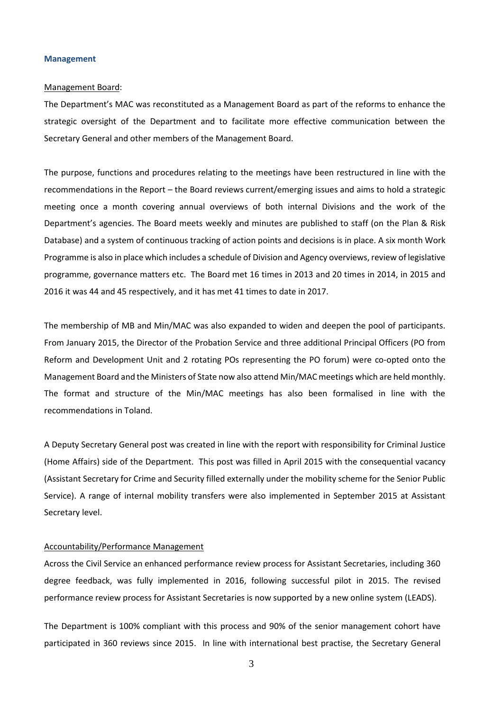# **Management**

## Management Board:

The Department's MAC was reconstituted as a Management Board as part of the reforms to enhance the strategic oversight of the Department and to facilitate more effective communication between the Secretary General and other members of the Management Board.

The purpose, functions and procedures relating to the meetings have been restructured in line with the recommendations in the Report – the Board reviews current/emerging issues and aims to hold a strategic meeting once a month covering annual overviews of both internal Divisions and the work of the Department's agencies. The Board meets weekly and minutes are published to staff (on the Plan & Risk Database) and a system of continuous tracking of action points and decisions is in place. A six month Work Programme is also in place which includes a schedule of Division and Agency overviews, review of legislative programme, governance matters etc. The Board met 16 times in 2013 and 20 times in 2014, in 2015 and 2016 it was 44 and 45 respectively, and it has met 41 times to date in 2017.

The membership of MB and Min/MAC was also expanded to widen and deepen the pool of participants. From January 2015, the Director of the Probation Service and three additional Principal Officers (PO from Reform and Development Unit and 2 rotating POs representing the PO forum) were co-opted onto the Management Board and the Ministers of State now also attend Min/MAC meetings which are held monthly. The format and structure of the Min/MAC meetings has also been formalised in line with the recommendations in Toland.

A Deputy Secretary General post was created in line with the report with responsibility for Criminal Justice (Home Affairs) side of the Department. This post was filled in April 2015 with the consequential vacancy (Assistant Secretary for Crime and Security filled externally under the mobility scheme for the Senior Public Service). A range of internal mobility transfers were also implemented in September 2015 at Assistant Secretary level.

# Accountability/Performance Management

Across the Civil Service an enhanced performance review process for Assistant Secretaries, including 360 degree feedback, was fully implemented in 2016, following successful pilot in 2015. The revised performance review process for Assistant Secretaries is now supported by a new online system (LEADS).

The Department is 100% compliant with this process and 90% of the senior management cohort have participated in 360 reviews since 2015. In line with international best practise, the Secretary General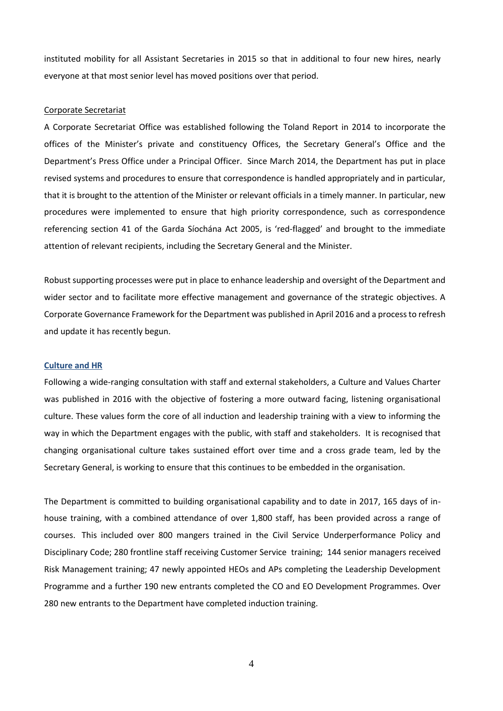instituted mobility for all Assistant Secretaries in 2015 so that in additional to four new hires, nearly everyone at that most senior level has moved positions over that period.

## Corporate Secretariat

A Corporate Secretariat Office was established following the Toland Report in 2014 to incorporate the offices of the Minister's private and constituency Offices, the Secretary General's Office and the Department's Press Office under a Principal Officer. Since March 2014, the Department has put in place revised systems and procedures to ensure that correspondence is handled appropriately and in particular, that it is brought to the attention of the Minister or relevant officials in a timely manner. In particular, new procedures were implemented to ensure that high priority correspondence, such as correspondence referencing section 41 of the Garda Síochána Act 2005, is 'red-flagged' and brought to the immediate attention of relevant recipients, including the Secretary General and the Minister.

Robust supporting processes were put in place to enhance leadership and oversight of the Department and wider sector and to facilitate more effective management and governance of the strategic objectives. A Corporate Governance Framework for the Department was published in April 2016 and a process to refresh and update it has recently begun.

# **Culture and HR**

Following a wide-ranging consultation with staff and external stakeholders, a Culture and Values Charter was published in 2016 with the objective of fostering a more outward facing, listening organisational culture. These values form the core of all induction and leadership training with a view to informing the way in which the Department engages with the public, with staff and stakeholders. It is recognised that changing organisational culture takes sustained effort over time and a cross grade team, led by the Secretary General, is working to ensure that this continues to be embedded in the organisation.

The Department is committed to building organisational capability and to date in 2017, 165 days of inhouse training, with a combined attendance of over 1,800 staff, has been provided across a range of courses. This included over 800 mangers trained in the Civil Service Underperformance Policy and Disciplinary Code; 280 frontline staff receiving Customer Service training; 144 senior managers received Risk Management training; 47 newly appointed HEOs and APs completing the Leadership Development Programme and a further 190 new entrants completed the CO and EO Development Programmes. Over 280 new entrants to the Department have completed induction training.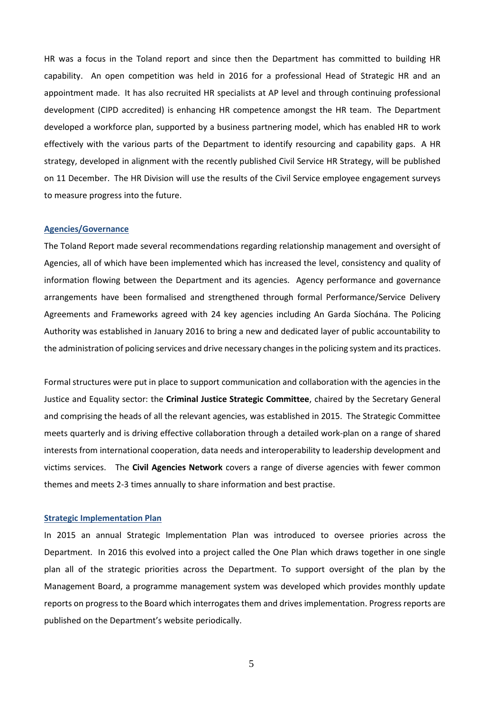HR was a focus in the Toland report and since then the Department has committed to building HR capability. An open competition was held in 2016 for a professional Head of Strategic HR and an appointment made. It has also recruited HR specialists at AP level and through continuing professional development (CIPD accredited) is enhancing HR competence amongst the HR team. The Department developed a workforce plan, supported by a business partnering model, which has enabled HR to work effectively with the various parts of the Department to identify resourcing and capability gaps. A HR strategy, developed in alignment with the recently published Civil Service HR Strategy, will be published on 11 December. The HR Division will use the results of the Civil Service employee engagement surveys to measure progress into the future.

#### **Agencies/Governance**

The Toland Report made several recommendations regarding relationship management and oversight of Agencies, all of which have been implemented which has increased the level, consistency and quality of information flowing between the Department and its agencies. Agency performance and governance arrangements have been formalised and strengthened through formal Performance/Service Delivery Agreements and Frameworks agreed with 24 key agencies including An Garda Síochána. The Policing Authority was established in January 2016 to bring a new and dedicated layer of public accountability to the administration of policing services and drive necessary changes in the policing system and its practices.

Formal structures were put in place to support communication and collaboration with the agencies in the Justice and Equality sector: the **Criminal Justice Strategic Committee**, chaired by the Secretary General and comprising the heads of all the relevant agencies, was established in 2015. The Strategic Committee meets quarterly and is driving effective collaboration through a detailed work-plan on a range of shared interests from international cooperation, data needs and interoperability to leadership development and victims services. The **Civil Agencies Network** covers a range of diverse agencies with fewer common themes and meets 2-3 times annually to share information and best practise.

#### **Strategic Implementation Plan**

In 2015 an annual Strategic Implementation Plan was introduced to oversee priories across the Department. In 2016 this evolved into a project called the One Plan which draws together in one single plan all of the strategic priorities across the Department. To support oversight of the plan by the Management Board, a programme management system was developed which provides monthly update reports on progress to the Board which interrogates them and drives implementation. Progress reports are published on the Department's website periodically.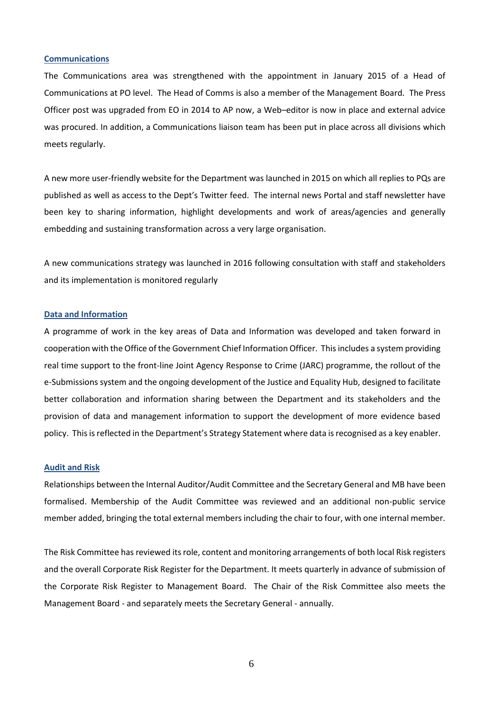## **Communications**

The Communications area was strengthened with the appointment in January 2015 of a Head of Communications at PO level. The Head of Comms is also a member of the Management Board. The Press Officer post was upgraded from EO in 2014 to AP now, a Web–editor is now in place and external advice was procured. In addition, a Communications liaison team has been put in place across all divisions which meets regularly.

A new more user-friendly website for the Department was launched in 2015 on which all replies to PQs are published as well as access to the Dept's Twitter feed. The internal news Portal and staff newsletter have been key to sharing information, highlight developments and work of areas/agencies and generally embedding and sustaining transformation across a very large organisation.

A new communications strategy was launched in 2016 following consultation with staff and stakeholders and its implementation is monitored regularly

#### **Data and Information**

A programme of work in the key areas of Data and Information was developed and taken forward in cooperation with the Office of the Government Chief Information Officer. This includes a system providing real time support to the front-line Joint Agency Response to Crime (JARC) programme, the rollout of the e-Submissions system and the ongoing development of the Justice and Equality Hub, designed to facilitate better collaboration and information sharing between the Department and its stakeholders and the provision of data and management information to support the development of more evidence based policy. This is reflected in the Department's Strategy Statement where data is recognised as a key enabler.

# **Audit and Risk**

Relationships between the Internal Auditor/Audit Committee and the Secretary General and MB have been formalised. Membership of the Audit Committee was reviewed and an additional non-public service member added, bringing the total external members including the chair to four, with one internal member.

The Risk Committee has reviewed its role, content and monitoring arrangements of both local Risk registers and the overall Corporate Risk Register for the Department. It meets quarterly in advance of submission of the Corporate Risk Register to Management Board. The Chair of the Risk Committee also meets the Management Board - and separately meets the Secretary General - annually.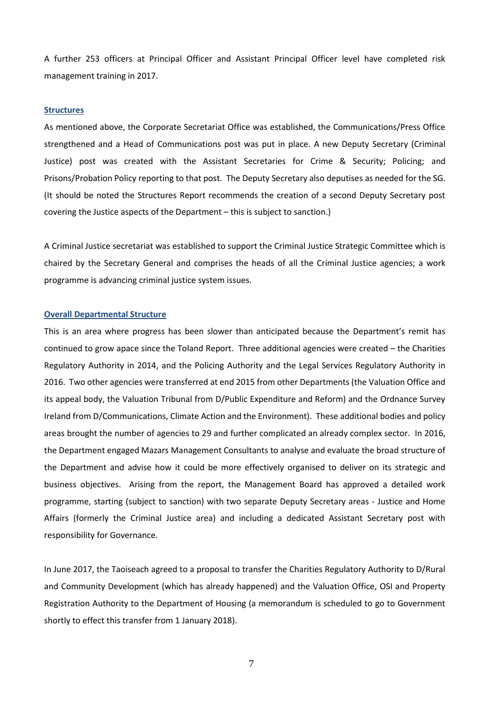A further 253 officers at Principal Officer and Assistant Principal Officer level have completed risk management training in 2017.

#### **Structures**

As mentioned above, the Corporate Secretariat Office was established, the Communications/Press Office strengthened and a Head of Communications post was put in place. A new Deputy Secretary (Criminal Justice) post was created with the Assistant Secretaries for Crime & Security; Policing; and Prisons/Probation Policy reporting to that post. The Deputy Secretary also deputises as needed for the SG. (It should be noted the Structures Report recommends the creation of a second Deputy Secretary post covering the Justice aspects of the Department – this is subject to sanction.)

A Criminal Justice secretariat was established to support the Criminal Justice Strategic Committee which is chaired by the Secretary General and comprises the heads of all the Criminal Justice agencies; a work programme is advancing criminal justice system issues.

#### **Overall Departmental Structure**

This is an area where progress has been slower than anticipated because the Department's remit has continued to grow apace since the Toland Report. Three additional agencies were created – the Charities Regulatory Authority in 2014, and the Policing Authority and the Legal Services Regulatory Authority in 2016. Two other agencies were transferred at end 2015 from other Departments (the Valuation Office and its appeal body, the Valuation Tribunal from D/Public Expenditure and Reform) and the Ordnance Survey Ireland from D/Communications, Climate Action and the Environment). These additional bodies and policy areas brought the number of agencies to 29 and further complicated an already complex sector. In 2016, the Department engaged Mazars Management Consultants to analyse and evaluate the broad structure of the Department and advise how it could be more effectively organised to deliver on its strategic and business objectives. Arising from the report, the Management Board has approved a detailed work programme, starting (subject to sanction) with two separate Deputy Secretary areas - Justice and Home Affairs (formerly the Criminal Justice area) and including a dedicated Assistant Secretary post with responsibility for Governance.

In June 2017, the Taoiseach agreed to a proposal to transfer the Charities Regulatory Authority to D/Rural and Community Development (which has already happened) and the Valuation Office, OSI and Property Registration Authority to the Department of Housing (a memorandum is scheduled to go to Government shortly to effect this transfer from 1 January 2018).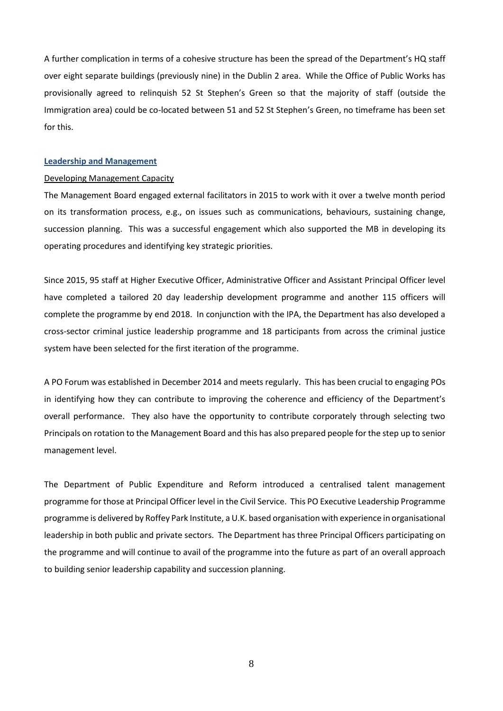A further complication in terms of a cohesive structure has been the spread of the Department's HQ staff over eight separate buildings (previously nine) in the Dublin 2 area. While the Office of Public Works has provisionally agreed to relinquish 52 St Stephen's Green so that the majority of staff (outside the Immigration area) could be co-located between 51 and 52 St Stephen's Green, no timeframe has been set for this.

## **Leadership and Management**

#### Developing Management Capacity

The Management Board engaged external facilitators in 2015 to work with it over a twelve month period on its transformation process, e.g., on issues such as communications, behaviours, sustaining change, succession planning. This was a successful engagement which also supported the MB in developing its operating procedures and identifying key strategic priorities.

Since 2015, 95 staff at Higher Executive Officer, Administrative Officer and Assistant Principal Officer level have completed a tailored 20 day leadership development programme and another 115 officers will complete the programme by end 2018. In conjunction with the IPA, the Department has also developed a cross-sector criminal justice leadership programme and 18 participants from across the criminal justice system have been selected for the first iteration of the programme.

A PO Forum was established in December 2014 and meets regularly. This has been crucial to engaging POs in identifying how they can contribute to improving the coherence and efficiency of the Department's overall performance. They also have the opportunity to contribute corporately through selecting two Principals on rotation to the Management Board and this has also prepared people for the step up to senior management level.

The Department of Public Expenditure and Reform introduced a centralised talent management programme for those at Principal Officer level in the Civil Service. This PO Executive Leadership Programme programme is delivered by Roffey Park Institute, a U.K. based organisation with experience in organisational leadership in both public and private sectors. The Department has three Principal Officers participating on the programme and will continue to avail of the programme into the future as part of an overall approach to building senior leadership capability and succession planning.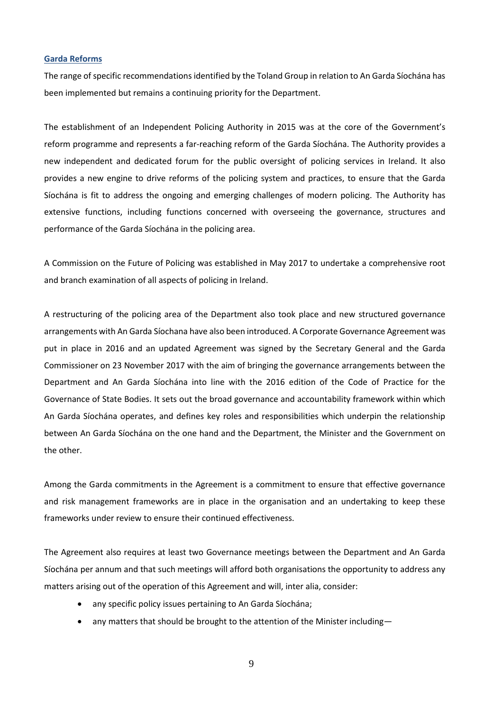# **Garda Reforms**

The range of specific recommendations identified by the Toland Group in relation to An Garda Síochána has been implemented but remains a continuing priority for the Department.

The establishment of an Independent Policing Authority in 2015 was at the core of the Government's reform programme and represents a far-reaching reform of the Garda Síochána. The Authority provides a new independent and dedicated forum for the public oversight of policing services in Ireland. It also provides a new engine to drive reforms of the policing system and practices, to ensure that the Garda Síochána is fit to address the ongoing and emerging challenges of modern policing. The Authority has extensive functions, including functions concerned with overseeing the governance, structures and performance of the Garda Síochána in the policing area.

A Commission on the Future of Policing was established in May 2017 to undertake a comprehensive root and branch examination of all aspects of policing in Ireland.

A restructuring of the policing area of the Department also took place and new structured governance arrangements with An Garda Síochana have also been introduced. A Corporate Governance Agreement was put in place in 2016 and an updated Agreement was signed by the Secretary General and the Garda Commissioner on 23 November 2017 with the aim of bringing the governance arrangements between the Department and An Garda Síochána into line with the 2016 edition of the Code of Practice for the Governance of State Bodies. It sets out the broad governance and accountability framework within which An Garda Síochána operates, and defines key roles and responsibilities which underpin the relationship between An Garda Síochána on the one hand and the Department, the Minister and the Government on the other.

Among the Garda commitments in the Agreement is a commitment to ensure that effective governance and risk management frameworks are in place in the organisation and an undertaking to keep these frameworks under review to ensure their continued effectiveness.

The Agreement also requires at least two Governance meetings between the Department and An Garda Síochána per annum and that such meetings will afford both organisations the opportunity to address any matters arising out of the operation of this Agreement and will, inter alia, consider:

- any specific policy issues pertaining to An Garda Síochána;
- any matters that should be brought to the attention of the Minister including-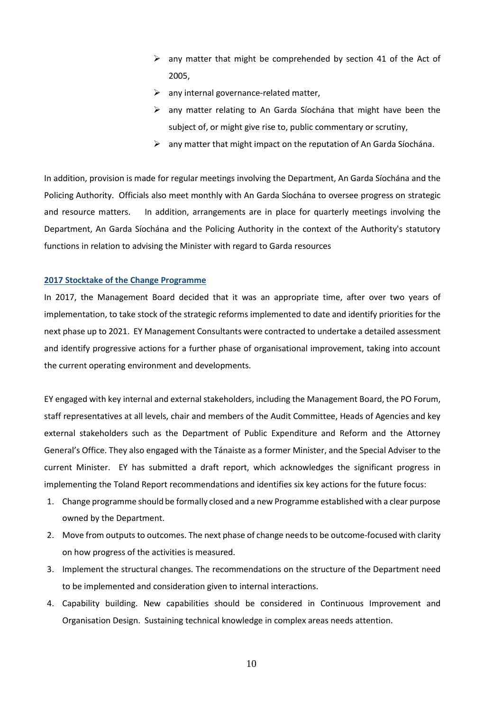- $\triangleright$  any matter that might be comprehended by section 41 of the Act of 2005,
- $\triangleright$  any internal governance-related matter,
- $\triangleright$  any matter relating to An Garda Síochána that might have been the subject of, or might give rise to, public commentary or scrutiny,
- $\triangleright$  any matter that might impact on the reputation of An Garda Siochána.

In addition, provision is made for regular meetings involving the Department, An Garda Síochána and the Policing Authority. Officials also meet monthly with An Garda Síochána to oversee progress on strategic and resource matters. In addition, arrangements are in place for quarterly meetings involving the Department, An Garda Síochána and the Policing Authority in the context of the Authority's statutory functions in relation to advising the Minister with regard to Garda resources

#### **2017 Stocktake of the Change Programme**

In 2017, the Management Board decided that it was an appropriate time, after over two years of implementation, to take stock of the strategic reforms implemented to date and identify priorities for the next phase up to 2021. EY Management Consultants were contracted to undertake a detailed assessment and identify progressive actions for a further phase of organisational improvement, taking into account the current operating environment and developments.

EY engaged with key internal and external stakeholders, including the Management Board, the PO Forum, staff representatives at all levels, chair and members of the Audit Committee, Heads of Agencies and key external stakeholders such as the Department of Public Expenditure and Reform and the Attorney General's Office. They also engaged with the Tánaiste as a former Minister, and the Special Adviser to the current Minister. EY has submitted a draft report, which acknowledges the significant progress in implementing the Toland Report recommendations and identifies six key actions for the future focus:

- 1. Change programme should be formally closed and a new Programme established with a clear purpose owned by the Department.
- 2. Move from outputs to outcomes. The next phase of change needs to be outcome-focused with clarity on how progress of the activities is measured.
- 3. Implement the structural changes. The recommendations on the structure of the Department need to be implemented and consideration given to internal interactions.
- 4. Capability building. New capabilities should be considered in Continuous Improvement and Organisation Design. Sustaining technical knowledge in complex areas needs attention.